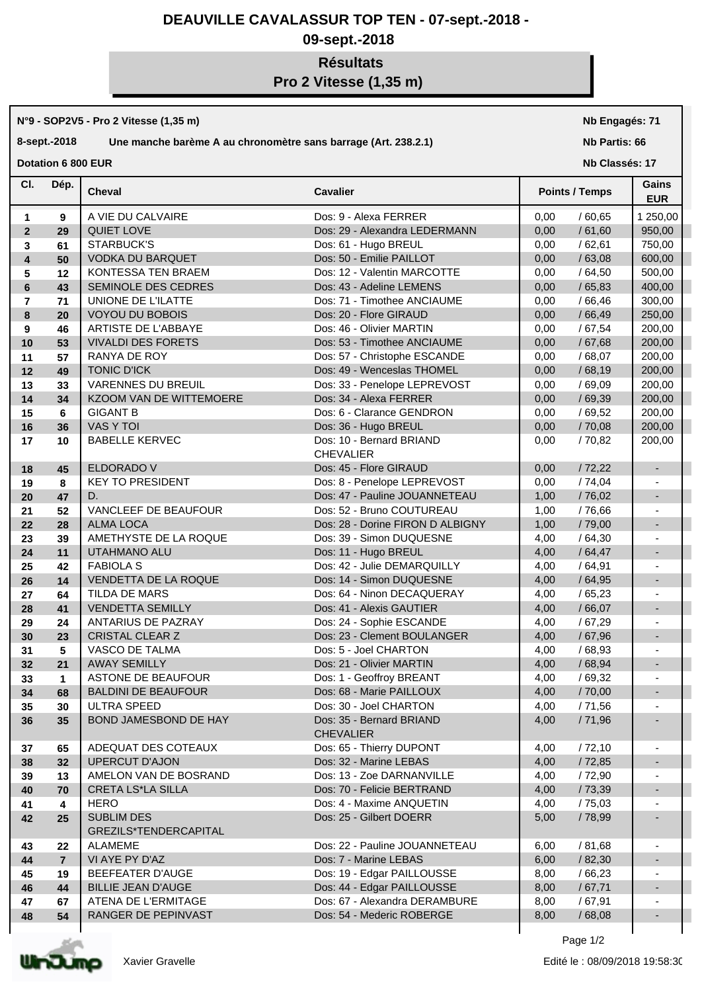## **DEAUVILLE CAVALASSUR TOP TEN - 07-sept.-2018 -**

## **09-sept.-2018**

# **Résultats**

**Pro 2 Vitesse (1,35 m)**

### **N°9 - SOP2V5 - Pro 2 Vitesse (1,35 m)**

### **8-sept.-2018 Une manche barème A au chronomètre sans barrage (Art. 238.2.1)**

**Nb Engagés: 71**

#### **Nb Partis: 66**

**Dotation 6 800 EUR** 

**Nb Classés: 17** 

| CI.            | Dép.            | Cheval                                     | <b>Cavalier</b>                              | <b>Points / Temps</b> | Gains<br><b>EUR</b>      |
|----------------|-----------------|--------------------------------------------|----------------------------------------------|-----------------------|--------------------------|
| 1              | 9               | A VIE DU CALVAIRE                          | Dos: 9 - Alexa FERRER                        | 0,00<br>/60,65        | 1 250,00                 |
| $\overline{2}$ | 29              | QUIET LOVE                                 | Dos: 29 - Alexandra LEDERMANN                | /61,60<br>0,00        | 950,00                   |
| 3              | 61              | <b>STARBUCK'S</b>                          | Dos: 61 - Hugo BREUL                         | /62,61<br>0,00        | 750,00                   |
| 4              | 50              | <b>VODKA DU BARQUET</b>                    | Dos: 50 - Emilie PAILLOT                     | /63,08<br>0,00        | 600,00                   |
| 5              | 12              | KONTESSA TEN BRAEM                         | Dos: 12 - Valentin MARCOTTE                  | /64,50<br>0,00        | 500,00                   |
| 6              | 43              | SEMINOLE DES CEDRES                        | Dos: 43 - Adeline LEMENS                     | 0,00<br>/65,83        | 400,00                   |
| 7              | 71              | UNIONE DE L'ILATTE                         | Dos: 71 - Timothee ANCIAUME                  | 0,00<br>/66,46        | 300,00                   |
| 8              | 20              | <b>VOYOU DU BOBOIS</b>                     | Dos: 20 - Flore GIRAUD                       | /66,49<br>0,00        | 250,00                   |
| 9              | 46              | ARTISTE DE L'ABBAYE                        | Dos: 46 - Olivier MARTIN                     | 0,00<br>/67,54        | 200,00                   |
| 10             | 53              | <b>VIVALDI DES FORETS</b>                  | Dos: 53 - Timothee ANCIAUME                  | /67,68<br>0,00        | 200,00                   |
| 11             | 57              | RANYA DE ROY                               | Dos: 57 - Christophe ESCANDE                 | 0,00<br>/68,07        | 200,00                   |
| 12             | 49              | <b>TONIC D'ICK</b>                         | Dos: 49 - Wenceslas THOMEL                   | /68,19<br>0,00        | 200,00                   |
| 13             | 33              | <b>VARENNES DU BREUIL</b>                  | Dos: 33 - Penelope LEPREVOST                 | 0,00<br>/69,09        | 200,00                   |
| 14             | 34              | KZOOM VAN DE WITTEMOERE                    | Dos: 34 - Alexa FERRER                       | /69,39<br>0,00        | 200,00                   |
| 15             | 6               | <b>GIGANT B</b>                            | Dos: 6 - Clarance GENDRON                    | 0,00<br>/69,52        | 200,00                   |
| 16             | 36              | <b>VAS Y TOI</b>                           | Dos: 36 - Hugo BREUL                         | /70,08<br>0,00        | 200,00                   |
| 17             | 10              | <b>BABELLE KERVEC</b>                      | Dos: 10 - Bernard BRIAND<br><b>CHEVALIER</b> | 0,00<br>/70,82        | 200,00                   |
| 18             | 45              | ELDORADO V                                 | Dos: 45 - Flore GIRAUD                       | /72,22<br>0,00        | $\overline{\phantom{a}}$ |
| 19             | 8               | <b>KEY TO PRESIDENT</b>                    | Dos: 8 - Penelope LEPREVOST                  | 0,00<br>/74,04        |                          |
| 20             | 47              | D.                                         | Dos: 47 - Pauline JOUANNETEAU                | /76,02<br>1,00        | $\blacksquare$           |
| 21             | 52              | VANCLEEF DE BEAUFOUR                       | Dos: 52 - Bruno COUTUREAU                    | /76,66<br>1,00        |                          |
| 22             | 28              | <b>ALMA LOCA</b>                           | Dos: 28 - Dorine FIRON D ALBIGNY             | /79,00<br>1,00        | $\blacksquare$           |
| 23             | 39              | AMETHYSTE DE LA ROQUE                      | Dos: 39 - Simon DUQUESNE                     | /64,30<br>4,00        |                          |
| 24             | 11              | UTAHMANO ALU                               | Dos: 11 - Hugo BREUL                         | /64,47<br>4,00        | $\blacksquare$           |
| 25             | 42              | <b>FABIOLA S</b>                           | Dos: 42 - Julie DEMARQUILLY                  | /64,91<br>4,00        |                          |
| 26             | 14              | VENDETTA DE LA ROQUE                       | Dos: 14 - Simon DUQUESNE                     | /64,95<br>4,00        | $\blacksquare$           |
| 27             | 64              | TILDA DE MARS                              | Dos: 64 - Ninon DECAQUERAY                   | 4,00<br>/65,23        |                          |
| 28             | 41              | <b>VENDETTA SEMILLY</b>                    | Dos: 41 - Alexis GAUTIER                     | 4,00<br>/66,07        | $\overline{\phantom{a}}$ |
| 29             | 24              | ANTARIUS DE PAZRAY                         | Dos: 24 - Sophie ESCANDE                     | 4,00<br>/67,29        | $\blacksquare$           |
| 30             | 23              | <b>CRISTAL CLEAR Z</b>                     | Dos: 23 - Clement BOULANGER                  | 4,00<br>/ 67,96       | $\blacksquare$           |
| 31             | 5               | VASCO DE TALMA                             | Dos: 5 - Joel CHARTON                        | /68,93<br>4,00        |                          |
| 32             | 21              | <b>AWAY SEMILLY</b>                        | Dos: 21 - Olivier MARTIN                     | 4,00<br>/68,94        | ٠                        |
| 33             | $\mathbf 1$     | ASTONE DE BEAUFOUR                         | Dos: 1 - Geoffroy BREANT                     | 4,00<br>/69,32        |                          |
| 34             | 68              | <b>BALDINI DE BEAUFOUR</b>                 | Dos: 68 - Marie PAILLOUX                     | 4,00<br>/70,00        |                          |
| 35             | 30              | ULTRA SPEED                                | Dos: 30 - Joel CHARTON                       | / 71,56<br>4,00       | $\overline{\phantom{a}}$ |
| 36             | 35              | BOND JAMESBOND DE HAY                      | Dos: 35 - Bernard BRIAND<br><b>CHEVALIER</b> | / 71,96<br>4,00       |                          |
| 37             | 65              | ADEQUAT DES COTEAUX                        | Dos: 65 - Thierry DUPONT                     | 4,00<br>/72,10        | $\overline{\phantom{a}}$ |
| 38             | 32 <sub>2</sub> | <b>UPERCUT D'AJON</b>                      | Dos: 32 - Marine LEBAS                       | 4,00<br>/72,85        |                          |
| 39             | 13              | AMELON VAN DE BOSRAND                      | Dos: 13 - Zoe DARNANVILLE                    | 4,00<br>/72,90        |                          |
| 40             | 70              | <b>CRETA LS*LA SILLA</b>                   | Dos: 70 - Felicie BERTRAND                   | /73,39<br>4,00        | $\blacksquare$           |
| 41             | 4               | <b>HERO</b>                                | Dos: 4 - Maxime ANQUETIN                     | 4,00<br>/75,03        |                          |
| 42             | 25              | <b>SUBLIM DES</b><br>GREZILS*TENDERCAPITAL | Dos: 25 - Gilbert DOERR                      | 5,00<br>/78,99        |                          |
| 43             | 22              | ALAMEME                                    | Dos: 22 - Pauline JOUANNETEAU                | /81,68<br>6,00        | $\overline{\phantom{a}}$ |
| 44             | $\overline{7}$  | VI AYE PY D'AZ                             | Dos: 7 - Marine LEBAS                        | 6,00<br>/82,30        | $\overline{\phantom{a}}$ |
| 45             | 19              | BEEFEATER D'AUGE                           | Dos: 19 - Edgar PAILLOUSSE                   | 8,00<br>/66,23        | $\overline{\phantom{a}}$ |
| 46             | 44              | <b>BILLIE JEAN D'AUGE</b>                  | Dos: 44 - Edgar PAILLOUSSE                   | 8,00<br>/67,71        | $\overline{\phantom{a}}$ |
| 47             | 67              | ATENA DE L'ERMITAGE                        | Dos: 67 - Alexandra DERAMBURE                | 8,00<br>/ 67,91       | $\overline{\phantom{a}}$ |
| 48             | 54              | RANGER DE PEPINVAST                        | Dos: 54 - Mederic ROBERGE                    | 8,00<br>/68,08        | $\blacksquare$           |